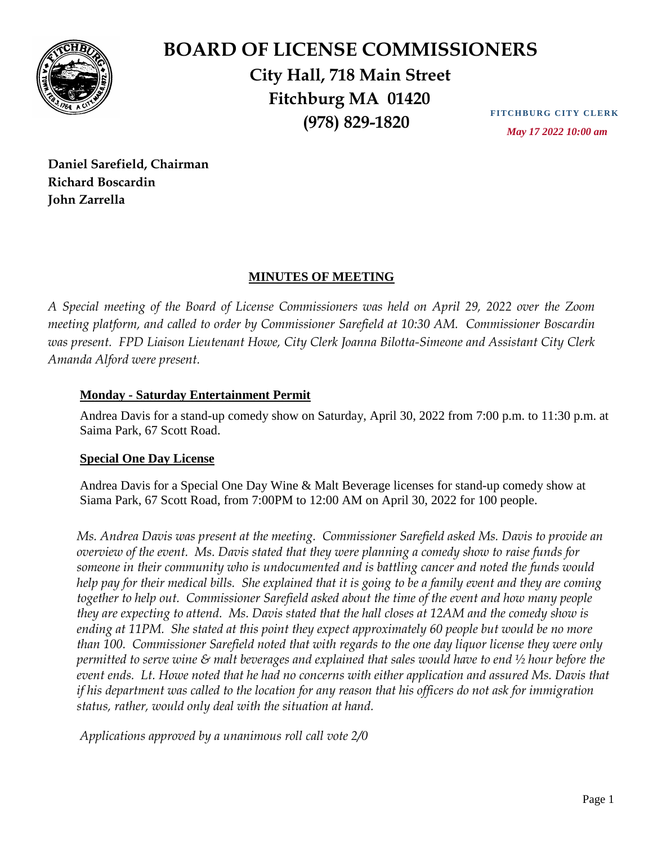

## **BOARD OF LICENSE COMMISSIONERS City Hall, 718 Main Street Fitchburg MA 01420 (978) 829-1820**

**FITCHBURG CITY CLERK**  *May 17 2022 10:00 am*

**Daniel Sarefield, Chairman Richard Boscardin John Zarrella**

## **MINUTES OF MEETING**

*A Special meeting of the Board of License Commissioners was held on April 29, 2022 over the Zoom meeting platform, and called to order by Commissioner Sarefield at 10:30 AM. Commissioner Boscardin was present. FPD Liaison Lieutenant Howe, City Clerk Joanna Bilotta-Simeone and Assistant City Clerk Amanda Alford were present.* 

## **Monday - Saturday Entertainment Permit**

Andrea Davis for a stand-up comedy show on Saturday, April 30, 2022 from 7:00 p.m. to 11:30 p.m. at Saima Park, 67 Scott Road.

## **Special One Day License**

Andrea Davis for a Special One Day Wine & Malt Beverage licenses for stand-up comedy show at Siama Park, 67 Scott Road, from 7:00PM to 12:00 AM on April 30, 2022 for 100 people.

*Ms. Andrea Davis was present at the meeting. Commissioner Sarefield asked Ms. Davis to provide an overview of the event. Ms. Davis stated that they were planning a comedy show to raise funds for someone in their community who is undocumented and is battling cancer and noted the funds would help pay for their medical bills. She explained that it is going to be a family event and they are coming together to help out. Commissioner Sarefield asked about the time of the event and how many people they are expecting to attend. Ms. Davis stated that the hall closes at 12AM and the comedy show is ending at 11PM. She stated at this point they expect approximately 60 people but would be no more than 100. Commissioner Sarefield noted that with regards to the one day liquor license they were only permitted to serve wine & malt beverages and explained that sales would have to end ½ hour before the event ends. Lt. Howe noted that he had no concerns with either application and assured Ms. Davis that if his department was called to the location for any reason that his officers do not ask for immigration status, rather, would only deal with the situation at hand.*

*Applications approved by a unanimous roll call vote 2/0*